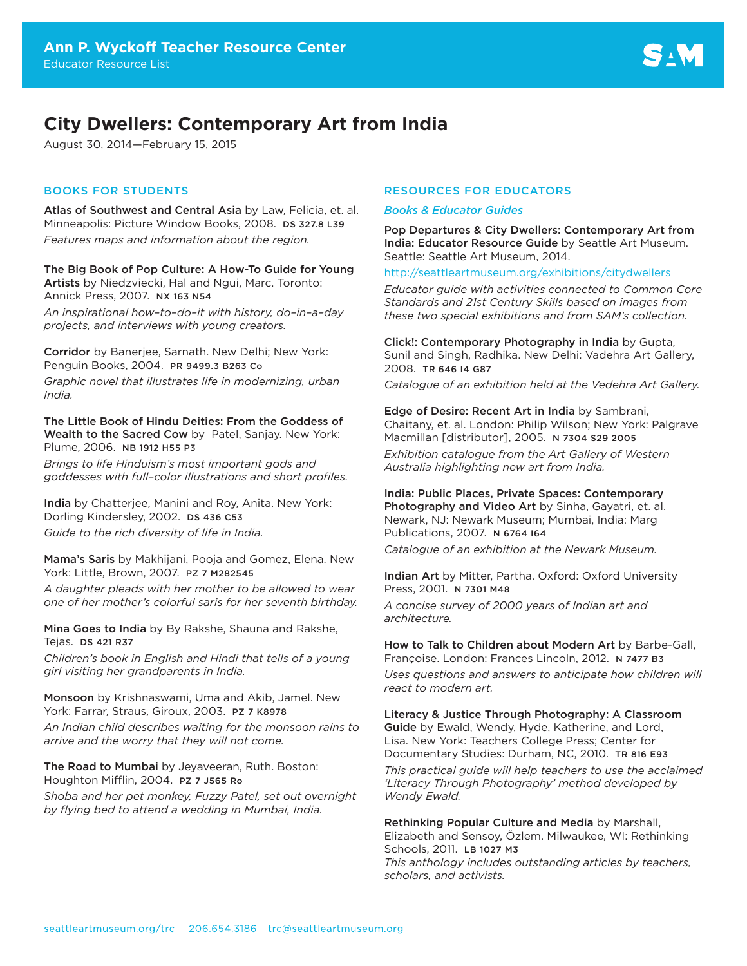# **City Dwellers: Contemporary Art from India**

August 30, 2014—February 15, 2015

## BOOKS FOR STUDENTS

Atlas of Southwest and Central Asia by Law, Felicia, et. al. Minneapolis: Picture Window Books, 2008. DS 327.8 L39 *Features maps and information about the region.*

The Big Book of Pop Culture: A How-To Guide for Young Artists by Niedzviecki, Hal and Ngui, Marc. Toronto: Annick Press, 2007. NX 163 N54

*An inspirational how–to–do–it with history, do–in–a–day projects, and interviews with young creators.*

Corridor by Banerjee, Sarnath. New Delhi; New York: Penguin Books, 2004. PR 9499.3 B263 Co

*Graphic novel that illustrates life in modernizing, urban India.*

The Little Book of Hindu Deities: From the Goddess of Wealth to the Sacred Cow by Patel, Sanjay. New York: Plume, 2006. NB 1912 H55 P3

*Brings to life Hinduism's most important gods and goddesses with full–color illustrations and short profiles.*

India by Chatterjee, Manini and Roy, Anita. New York: Dorling Kindersley, 2002. DS 436 C53 *Guide to the rich diversity of life in India.*

Mama's Saris by Makhijani, Pooja and Gomez, Elena. New York: Little, Brown, 2007. PZ 7 M282545

*A daughter pleads with her mother to be allowed to wear one of her mother's colorful saris for her seventh birthday.* 

Mina Goes to India by By Rakshe, Shauna and Rakshe, Tejas. DS 421 R37

*Children's book in English and Hindi that tells of a young girl visiting her grandparents in India.* 

Monsoon by Krishnaswami, Uma and Akib, Jamel. New York: Farrar, Straus, Giroux, 2003. PZ 7 K8978

*An Indian child describes waiting for the monsoon rains to arrive and the worry that they will not come.* 

The Road to Mumbai by Jeyaveeran, Ruth. Boston: Houghton Mifflin, 2004. PZ 7 J565 Ro

*Shoba and her pet monkey, Fuzzy Patel, set out overnight by flying bed to attend a wedding in Mumbai, India.* 

## RESOURCES FOR EDUCATORS

#### *Books & Educator Guides*

Pop Departures & City Dwellers: Contemporary Art from India: Educator Resource Guide by Seattle Art Museum. Seattle: Seattle Art Museum, 2014.

<http://seattleartmuseum.org/exhibitions/citydwellers>

*Educator guide with activities connected to Common Core Standards and 21st Century Skills based on images from these two special exhibitions and from SAM's collection.*

Click!: Contemporary Photography in India by Gupta, Sunil and Singh, Radhika. New Delhi: Vadehra Art Gallery, 2008. TR 646 I4 G87

*Catalogue of an exhibition held at the Vedehra Art Gallery.*

Edge of Desire: Recent Art in India by Sambrani, Chaitany, et. al. London: Philip Wilson; New York: Palgrave Macmillan [distributor], 2005. N 7304 S29 2005

*Exhibition catalogue from the Art Gallery of Western Australia highlighting new art from India.*

India: Public Places, Private Spaces: Contemporary Photography and Video Art by Sinha, Gayatri, et. al. Newark, NJ: Newark Museum; Mumbai, India: Marg Publications, 2007. N 6764 I64

*Catalogue of an exhibition at the Newark Museum.*

Indian Art by Mitter, Partha. Oxford: Oxford University Press, 2001. N 7301 M48

*A concise survey of 2000 years of Indian art and architecture.*

How to Talk to Children about Modern Art by Barbe-Gall, Françoise. London: Frances Lincoln, 2012. N 7477 B3

*Uses questions and answers to anticipate how children will react to modern art.*

Literacy & Justice Through Photography: A Classroom Guide by Ewald, Wendy, Hyde, Katherine, and Lord, Lisa. New York: Teachers College Press; Center for Documentary Studies: Durham, NC, 2010. TR 816 E93

*This practical guide will help teachers to use the acclaimed 'Literacy Through Photography' method developed by Wendy Ewald.*

Rethinking Popular Culture and Media by Marshall, Elizabeth and Sensoy, Özlem. Milwaukee, WI: Rethinking Schools, 2011. LB 1027 M3 *This anthology includes outstanding articles by teachers, scholars, and activists.*